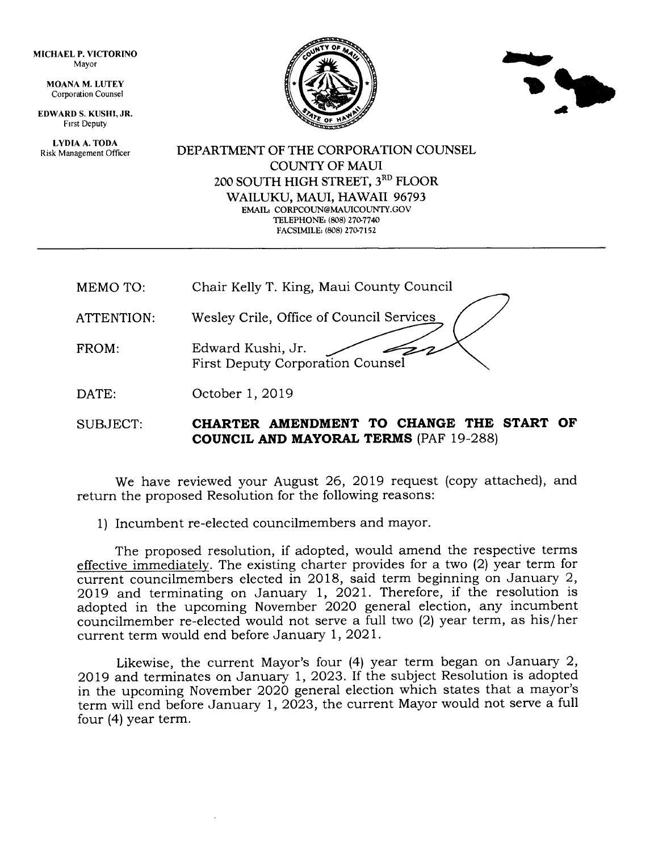MICHAEL P. VICTORINO Mayor

> MOANA M. LUTEY Corporation Counsel

EDWARD S. KUSHT,JR. Frrst Deputy

LYDIA A. TODA Risk Management Officer





DEPARTMENT OF THE CORPORATION COUNSEL COUNTY OF MAUI 200 SOUTH HIGH STREET, 3RD FLOOR WAILUKU, MAUI, HAWAII 96793 EMAIL: CORPCOUN@MAUICOUNTY.GOV TELEPHONE: (808) 270-7740 FACSIMILE: (808) 270-7152

| MEMO TO:   | Chair Kelly T. King, Maui County Council              |
|------------|-------------------------------------------------------|
| ATTENTION: | Wesley Crile, Office of Council Services              |
| FROM:      | Edward Kushi, Jr.<br>First Deputy Corporation Counsel |
| DATE:      | October 1, 2019                                       |

SUBJECT: **CHARTER AMENDMENT TO CHANGE THE START OF COUNCIL AND MAYORAL TERMS (PAF 19-288)** 

We have reviewed your August 26, 2019 request (copy attached), and return the proposed Resolution for the following reasons:

1) Incumbent re-elected councilmembers and mayor.

The proposed resolution, if adopted, would amend the respective terms effective immediately. The existing charter provides for a two  $(2)$  year term for current councilmembers elected in 2018, said term beginning on January 2, 2Ol9 and terminating on January 1, 2021. Therefore, if the resolution is adopted in the upcoming November 2O2O general election, any incumbent councilmember re-elected would not serve a full two (2) year term, as his/her current term would end before January l,2O2l.

Likewise, the current Mayor's four (4) year term began on January 2, 2Ol9 and terminates on January 1, 2023. If the subject Resolution is adopted in the upcoming November 2020 general election which states that a mayor's term will end before January 1, 2023, the current Mayor would not serve a full four (4) year term.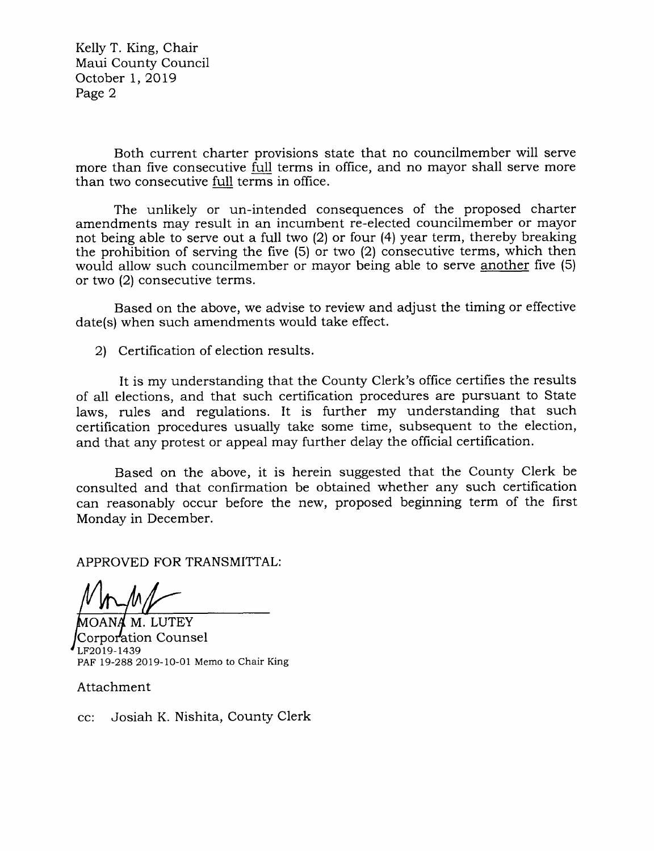Kelly T. King, Chair Maui County Council October l,2Ol9 Page 2

Both current charter provisions state that no councilmember will serve more than five consecutive full terms in office, and no mayor shall serye more than two consecutive fuIl terms in office.

The unlikely or un-intended consequences of the proposed charter amendments may result in an incumbent re-elected councilmember or mayor not being able to serye out a full two (21 or four (4) year term, thereby breaking the prohibition of serving the five (5) or two (2) consecutive terms, which then would allow such councilmember or mayor being able to serve another five (5) or two (2) consecutive terms.

Based on the above, we advise to review and adjust the timing or effective date(s) when such amendments would take effect.

2l Certification of election results.

It is my understanding that the County Clerk's office certifies the results of all elections, and that such certification procedures are pursuant to State laws, rules and regulations. It is further my understanding that such certification procedures usually take some time, subsequent to the election, and that any protest or appeal may further delay the official certification.

Based on the above, it is herein suggested that the County Clerk be consulted and that confirmation be obtained whether any such certification can reasonably occur before the new, proposed beginning term of the first Monday in December.

APPROVED FOR TRANSMITTAL:

M. LUTEY Corporation Counsel LF2019-1439 PAF 19-288 2019-10-01 Memo to Chair King

Attachment

cc: Josiah K. Nishita, County Clerk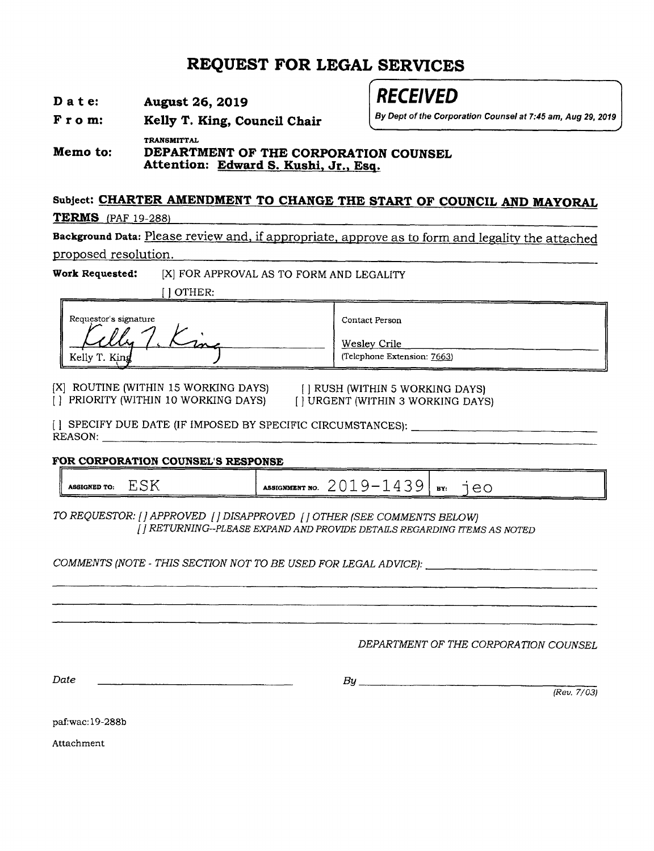## REQUEST FOR LEGAL SERVICES

| D a t e: |  | <b>August 26, 2019</b> |  |
|----------|--|------------------------|--|
|          |  |                        |  |

# **RECEIVED**

By Dept of the Corporation Counsel at 7:45 am, Aug 29, 2019

From: Kelly T. King, Council Chair

TRANSMITTAL Memo to: DEPARTMENT OF THE CORPORATION COUNSEL<br>Attention: Edward S. Kushi, Jr., Esq.

### Subject: CHARTER AMENDMENT TO CHANGE THE START OF COUNCIL AND MAYORAL

**TERMS** (PAF 19-288)

Background Data: Please review and, if appropriate, approve as to form and legality the attached proposed resolution.

Work Requested: [X] FOR APPROVAL AS TO FORM AND LEGALITY

I I OTHER:

| Requestor's signature                  | Contact Person                              |
|----------------------------------------|---------------------------------------------|
| <u>A X X in</u><br>me<br>Kelly T. King | Wesley Crile<br>(Telephone Extension: 7663) |

[X] ROUTINE (WITHIN 15 WORKING DAYS) [] RUSH (WITHIN 5 WORKING DAYS)<br>[] PRIORITY (WITHIN 10 WORKING DAYS) [] URGENT (WITHIN 3 WORKING DAYS) [ ] PRIORITY (WITHIN 10 WORKING DAYS)

II SPECIFY DUE DATE (IF IMPOSED BY SPECIFIC CIRCUMSTANCES): REASON:

#### FOR CORPORATION COUNSEL'S RESPONSE

ASSIGNED TO:  $ESK$  Assignment no.  $2019 - 1439$  By:  $1e0$ 

TO REQUESTOR: [] APPROVED [] DISAPPROVED [] OTHER (SEE COMMENTS BELOW) <sup>I</sup>] RETURNING--PLEASE EXPAND AND PROWDE DETAILS REGARDING ITDMS AS NOTED

COMMENTS (NOTE - THIS SECTION NOT TO BE USED FOR LEGAL ADWCE):

DEPARTMENT OF THE CORPORATION COUNSEL

Date

 $B$ u $\qquad$ 

(Reu. 7/03)

paf:wac:19-288b

Attachment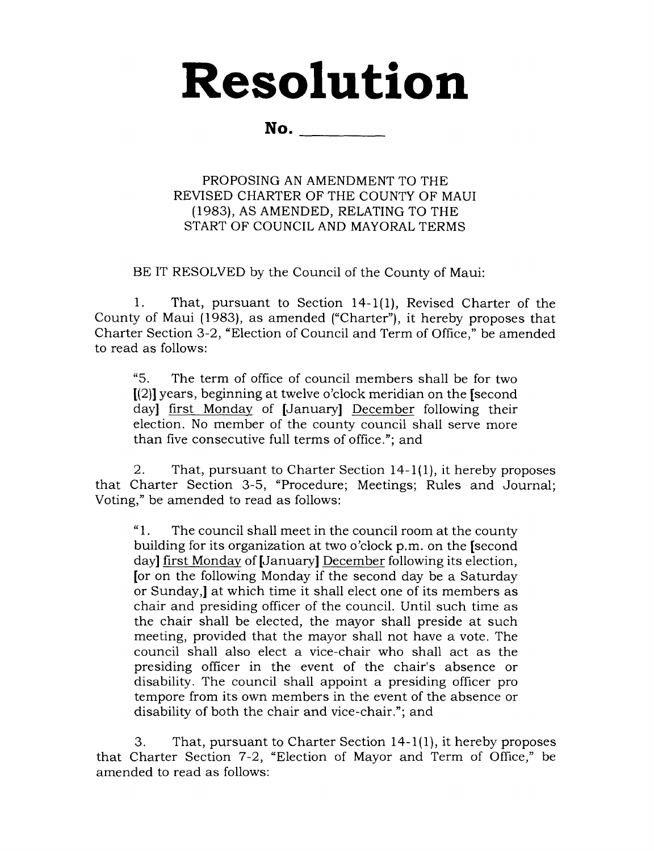# Resolution

No.

PROPOSING AN AMENDMENT TO THE REVISED CHARTER OF THE COUNTY OF MAUI (1983), AS AMENDED, RELATING TO THE START OF COUNCIL AND MAYORAL TERMS

BE IT RESOLVED by the Council of the County of Maui:

1. That, pursuant to Section 14-1(1), Revised Charter of the County of Maui (1983), as amended ("Charter"), it hereby proposes that Charter Section 3-2, "Election of Council and Term of Office," be amended to read as follows:

"5. The term of office of council members shall be for two  $[(2)]$  years, beginning at twelve o'clock meridian on the [second day] first Monday of [January] December following their election. No member of the county council shall serve more than five consecutive full terms of office."; and

2. That, pursuant to Charter Section l4-l(1), it hereby proposes that Charter Section 3-5, "Procedure; Meetings; Rules and Journal; Voting," be amended to read as follows:

"1. The council shall meet in the council room at the county building for its organization at two o'clock p.m. on the **[second**] day] first Monday of [January] December following its election, [or on the following Monday if the second day be a Saturday or Sunday,l at which time it shall elect one of its members as chair and presiding officer of the council. Until such time as the chair shall be elected, the mayor shall preside at such meeting, provided that the mayor shall not have a vote. The council shall also elect a vice-chair who shall act as the presiding officer in the event of the chair's absence or disability. The council shall appoint a presiding officer pro tempore from its own members in the event of the absence or disability of both the chair and vice-chair."; and

3. That, pursuant to Charter Section 14-1(1), it hereby proposes that Charter Section 7-2, "Election of Mayor and Term of Office," be amended to read as follows: